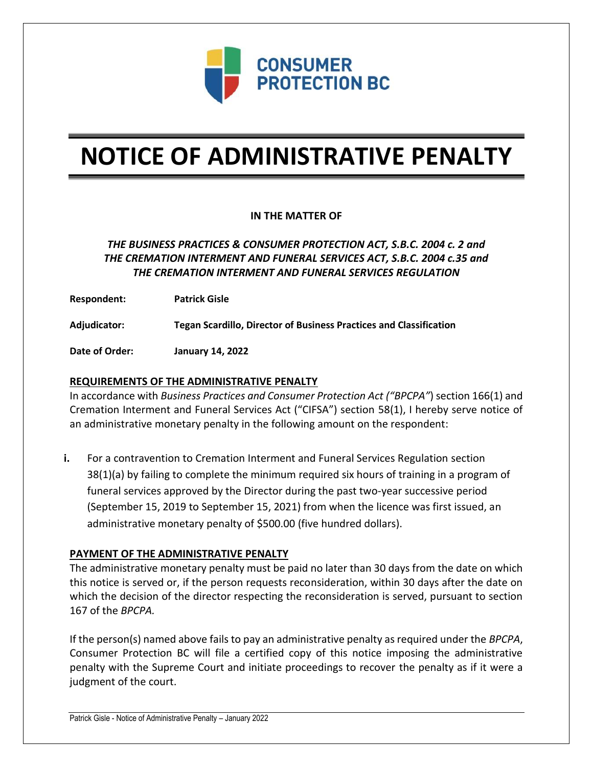

# **NOTICE OF ADMINISTRATIVE PENALTY**

## **IN THE MATTER OF**

# *THE BUSINESS PRACTICES & CONSUMER PROTECTION ACT, S.B.C. 2004 c. 2 and THE CREMATION INTERMENT AND FUNERAL SERVICES ACT, S.B.C. 2004 c.35 and THE CREMATION INTERMENT AND FUNERAL SERVICES REGULATION*

**Respondent: Patrick Gisle**

**Adjudicator: Tegan Scardillo, Director of Business Practices and Classification**

**Date of Order: January 14, 2022**

### **REQUIREMENTS OF THE ADMINISTRATIVE PENALTY**

In accordance with *Business Practices and Consumer Protection Act ("BPCPA"*) section 166(1) and Cremation Interment and Funeral Services Act ("CIFSA") section 58(1), I hereby serve notice of an administrative monetary penalty in the following amount on the respondent:

**i.** For a contravention to Cremation Interment and Funeral Services Regulation section 38(1)(a) by failing to complete the minimum required six hours of training in a program of funeral services approved by the Director during the past two-year successive period (September 15, 2019 to September 15, 2021) from when the licence was first issued, an administrative monetary penalty of \$500.00 (five hundred dollars).

#### **PAYMENT OF THE ADMINISTRATIVE PENALTY**

The administrative monetary penalty must be paid no later than 30 days from the date on which this notice is served or, if the person requests reconsideration, within 30 days after the date on which the decision of the director respecting the reconsideration is served, pursuant to section 167 of the *BPCPA.* 

If the person(s) named above fails to pay an administrative penalty as required under the *BPCPA*, Consumer Protection BC will file a certified copy of this notice imposing the administrative penalty with the Supreme Court and initiate proceedings to recover the penalty as if it were a judgment of the court.